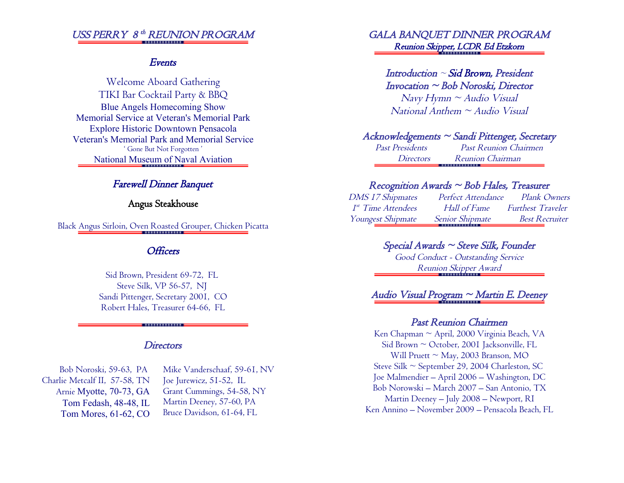## USS PERRY 8<sup>th</sup> REUNION PROGRAM

#### Events

Welcome Aboard Gathering TIKI Bar Cocktail Party & BBQ Blue Angels Homecoming Show Memorial Service at Veteran's Memorial Park Explore Historic Downtown Pensacola Veteran's Memorial Park and Memorial Service ' Gone But Not Forgotten ' National Museum of Naval Aviation

## Farewell Dinner Banquet

### Angus Steakhouse

Black Angus Sirloin, Oven Roasted Grouper, Chicken Picatta

### **Officers**

Sid Brown, President 69-72, FL Steve Silk, VP 56-57, NJ Sandi Pittenger, Secretary 2001, CO Robert Hales, Treasurer 64-66, FL

#### **Directors**

. . . . . . . . . . . . . .

Bob Noroski, 59-63, PA Charlie Metcalf II, 57-58, TN Arnie Myotte, 70-73, GA Tom Fedash, 48-48, IL Tom Mores, 61-62, CO

 Mike Vanderschaaf, 59-61, NV Joe Jurewicz, 51-52, IL Grant Cummings, 54-58, NY Martin Deeney, 57-60, PA Bruce Davidson, 61-64, FL

## GALA BANQUET DINNER PROGRAM Reunion Skipper, LCDR Ed Etzkorn

### Introduction  $\sim$  Sid Brown, President Invocation ~ Bob Noroski, Director

 $N$ avy Hymn ~ Audio Visual  $National$  Anthem  $\sim$  Audio Visual

## Acknowledgements ~ Sandi Pittenger, Secretary

Past Presidents Past Reunion Chairmen Directors Reunion Chairman . . . . . . . . . . . . . . .

#### $Reception Awards \sim Bob Hales, Treasure$

DMS 17 Shipmates Perfect Attendance Plank Owners 1 st Time Attendees Hall of Fame Furthest Traveler Youngest Shipmate Senior Shipmate Best Recruiter

## $Special$  Awards  $\sim$  Steve Silk, Founder

Good Conduct - Outstanding Service Reunion Skipper Award

# Audio Visual Program ~ Martin E. Deeney

#### Past Reunion Chairmen

Ken Chapman ~ April, 2000 Virginia Beach, VA  $Si<sub>d</sub> Brown \sim October$ , 2001 Jacksonville, FL Will Pruett  $\sim$  May, 2003 Branson, MO Steve Silk ~ September 29, 2004 Charleston, SC Joe Malmendier – April 2006 – Washington, DC Bob Norowski – March 2007 – San Antonio, TX Martin Deeney – July 2008 – Newport, RI Ken Annino – November 2009 – Pensacola Beach, FL